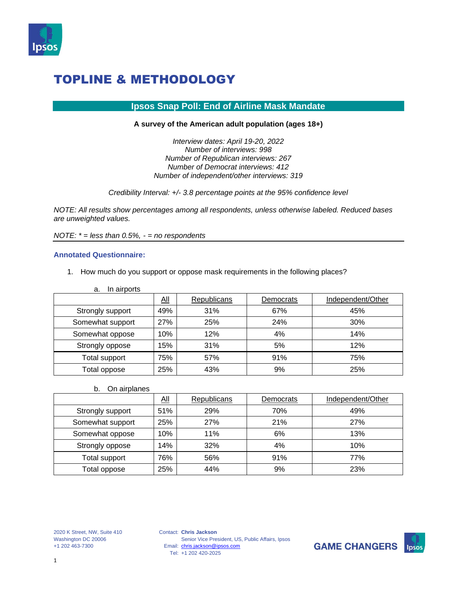

### **Ipsos Snap Poll: End of Airline Mask Mandate**

#### **A survey of the American adult population (ages 18+)**

*Interview dates: April 19-20, 2022 Number of interviews: 998 Number of Republican interviews: 267 Number of Democrat interviews: 412 Number of independent/other interviews: 319*

*Credibility Interval: +/- 3.8 percentage points at the 95% confidence level*

*NOTE: All results show percentages among all respondents, unless otherwise labeled. Reduced bases are unweighted values.*

*NOTE: \* = less than 0.5%, - = no respondents*

#### **Annotated Questionnaire:**

1. How much do you support or oppose mask requirements in the following places?

| In airports<br>a. |            |             |           |                   |
|-------------------|------------|-------------|-----------|-------------------|
|                   | <u>aii</u> | Republicans | Democrats | Independent/Other |
| Strongly support  | 49%        | 31%         | 67%       | 45%               |
| Somewhat support  | 27%        | 25%         | 24%       | 30%               |
| Somewhat oppose   | 10%        | 12%         | 4%        | 14%               |
| Strongly oppose   | 15%        | 31%         | 5%        | 12%               |
| Total support     | 75%        | 57%         | 91%       | 75%               |
| Total oppose      | 25%        | 43%         | 9%        | 25%               |

b. On airplanes

|                  | <u>All</u> | Republicans | Democrats | Independent/Other |
|------------------|------------|-------------|-----------|-------------------|
| Strongly support | 51%        | 29%         | 70%       | 49%               |
| Somewhat support | 25%        | 27%         | 21%       | 27%               |
| Somewhat oppose  | 10%        | 11%         | 6%        | 13%               |
| Strongly oppose  | 14%        | 32%         | 4%        | 10%               |
| Total support    | 76%        | 56%         | 91%       | 77%               |
| Total oppose     | 25%        | 44%         | 9%        | 23%               |

Contact: **Chris Jackson** Email: [chris.jackson@ipsos.com](mailto:chris.jackson@ipsos.com) Tel: +1 202 420-2025 Senior Vice President, US, Public Affairs, Ipsos

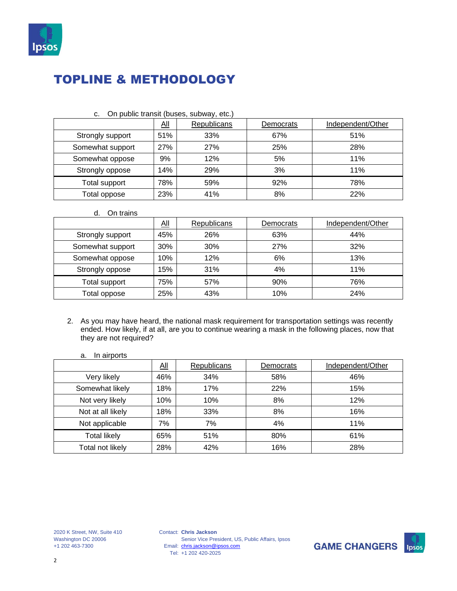

| On public transit (buses, subway, etc.)<br>C. |            |                                                      |     |     |  |  |  |  |  |
|-----------------------------------------------|------------|------------------------------------------------------|-----|-----|--|--|--|--|--|
|                                               | <u>aii</u> | <b>Republicans</b><br>Independent/Other<br>Democrats |     |     |  |  |  |  |  |
| Strongly support                              | 51%        | 33%                                                  | 67% | 51% |  |  |  |  |  |
| Somewhat support                              | 27%        | 27%                                                  | 25% | 28% |  |  |  |  |  |
| Somewhat oppose                               | 9%         | 12%                                                  | 5%  | 11% |  |  |  |  |  |
| Strongly oppose                               | 14%        | 29%                                                  | 3%  | 11% |  |  |  |  |  |
| Total support                                 | 78%        | 59%                                                  | 92% | 78% |  |  |  |  |  |
| Total oppose                                  | 23%        | 41%                                                  | 8%  | 22% |  |  |  |  |  |

d. On trains

|                      | $\underline{\mathsf{All}}$ | Republicans | Democrats | Independent/Other |
|----------------------|----------------------------|-------------|-----------|-------------------|
| Strongly support     | 45%                        | 26%         | 63%       | 44%               |
| Somewhat support     | 30%                        | 30%         | 27%       | 32%               |
| Somewhat oppose      | 10%                        | 12%         | 6%        | 13%               |
| Strongly oppose      | 15%                        | 31%         | 4%        | 11%               |
| <b>Total support</b> | 75%                        | 57%         | 90%       | 76%               |
| Total oppose         | 25%                        | 43%         | 10%       | 24%               |

- 2. As you may have heard, the national mask requirement for transportation settings was recently ended. How likely, if at all, are you to continue wearing a mask in the following places, now that they are not required?
	- a. In airports

|                     | $\underline{\mathsf{All}}$ | Republicans | Democrats | Independent/Other |
|---------------------|----------------------------|-------------|-----------|-------------------|
| Very likely         | 46%                        | 34%         | 58%       | 46%               |
| Somewhat likely     | 18%                        | 17%         | 22%       | 15%               |
| Not very likely     | 10%                        | 10%         | 8%        | 12%               |
| Not at all likely   | 18%                        | 33%         | 8%        | 16%               |
| Not applicable      | 7%                         | 7%          | 4%        | 11%               |
| <b>Total likely</b> | 65%                        | 51%         | 80%       | 61%               |
| Total not likely    | 28%                        | 42%         | 16%       | 28%               |

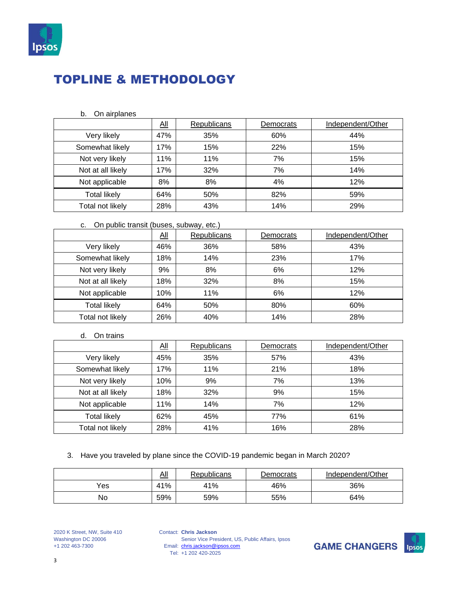

#### b. On airplanes

|                     | <u>All</u> | <b>Republicans</b> | Democrats | Independent/Other |
|---------------------|------------|--------------------|-----------|-------------------|
| Very likely         | 47%        | 35%                | 60%       | 44%               |
| Somewhat likely     | 17%        | 15%                | 22%       | 15%               |
| Not very likely     | 11%        | 11%                | 7%        | 15%               |
| Not at all likely   | 17%        | 32%                | 7%        | 14%               |
| Not applicable      | 8%         | 8%                 | 4%        | 12%               |
| <b>Total likely</b> | 64%        | 50%                | 82%       | 59%               |
| Total not likely    | 28%        | 43%                | 14%       | 29%               |

### c. On public transit (buses, subway, etc.)

|                     | $\underline{\mathsf{All}}$ | Republicans | Democrats | Independent/Other |
|---------------------|----------------------------|-------------|-----------|-------------------|
| Very likely         | 46%                        | 36%         | 58%       | 43%               |
| Somewhat likely     | 18%                        | 14%         | 23%       | 17%               |
| Not very likely     | 9%                         | 8%          | 6%        | 12%               |
| Not at all likely   | 18%                        | 32%         | 8%        | 15%               |
| Not applicable      | 10%                        | 11%         | 6%        | 12%               |
| <b>Total likely</b> | 64%                        | 50%         | 80%       | 60%               |
| Total not likely    | 26%                        | 40%         | 14%       | 28%               |

d. On trains

|                     | $\underline{\mathsf{All}}$ | Republicans | Democrats | Independent/Other |  |
|---------------------|----------------------------|-------------|-----------|-------------------|--|
| Very likely         | 45%                        | 35%         | 57%       | 43%               |  |
| Somewhat likely     | 17%                        | 11%         | 21%       | 18%               |  |
| Not very likely     | 10%                        | 9%          | 7%        | 13%               |  |
| Not at all likely   | 18%                        | 32%         | 9%        | 15%               |  |
| Not applicable      | 11%                        | 14%         | 7%        | 12%               |  |
| <b>Total likely</b> | 62%                        | 45%         | 77%       | 61%               |  |
| Total not likely    | 28%                        | 41%         | 16%       | 28%               |  |

### 3. Have you traveled by plane since the COVID-19 pandemic began in March 2020?

|     | <u>All</u> | Republicans | Democrats | Independent/Other |
|-----|------------|-------------|-----------|-------------------|
| Yes | 41%        | 41%         | 46%       | 36%               |
| No  | 59%        | 59%         | 55%       | 64%               |

Contact: **Chris Jackson** Email: Tel: Senior Vice President, US, Public Affairs, Ipsos [chris.jackson@ipsos.com](mailto:chris.jackson@ipsos.com) +1 202 420-2025

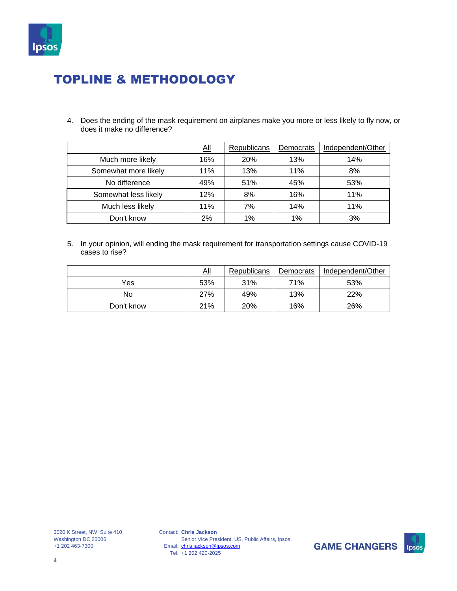

4. Does the ending of the mask requirement on airplanes make you more or less likely to fly now, or does it make no difference?

|                      | <u>All</u> | <b>Republicans</b> | Democrats | Independent/Other |
|----------------------|------------|--------------------|-----------|-------------------|
| Much more likely     | 16%        | 20%                | 13%       | 14%               |
| Somewhat more likely | 11%        | 13%                | 11%       | 8%                |
| No difference        | 49%        | 51%                | 45%       | 53%               |
| Somewhat less likely | 12%        | 8%                 | 16%       | 11%               |
| Much less likely     | 11%        | 7%                 | 14%       | 11%               |
| Don't know           | 2%         | 1%                 | 1%        | 3%                |

5. In your opinion, will ending the mask requirement for transportation settings cause COVID-19 cases to rise?

|            | <u>aii</u> | Republicans | Democrats | Independent/Other |
|------------|------------|-------------|-----------|-------------------|
| Yes        | 53%        | 31%         | 71%       | 53%               |
| No         | 27%        | 49%         | 13%       | 22%               |
| Don't know | 21%        | 20%         | 16%       | 26%               |

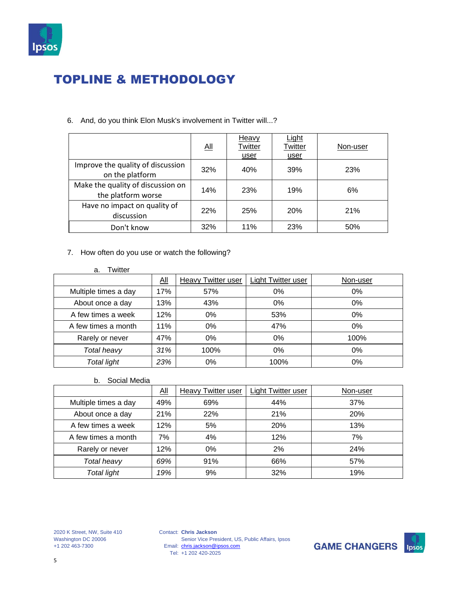

|                                                         | <u>aii</u> | Heavy<br>Twitter<br>user | Light<br>Twitter<br>user | Non-user |
|---------------------------------------------------------|------------|--------------------------|--------------------------|----------|
| Improve the quality of discussion<br>on the platform    | 32%        | 40%                      | 39%                      | 23%      |
| Make the quality of discussion on<br>the platform worse | 14%        | 23%                      | 19%                      | 6%       |
| Have no impact on quality of<br>discussion              | 22%        | 25%                      | 20%                      | 21%      |
| Don't know                                              | 32%        | 11%                      | 23%                      | 50%      |

6. And, do you think Elon Musk's involvement in Twitter will...?

- 7. How often do you use or watch the following?
	- a. Twitter

|                      | $\underline{\overline{\mathrm{All}}}$ | Heavy Twitter user | Light Twitter user | Non-user |
|----------------------|---------------------------------------|--------------------|--------------------|----------|
| Multiple times a day | 17%                                   | 57%                | 0%                 | 0%       |
| About once a day     | 13%                                   | 43%                | 0%                 | 0%       |
| A few times a week   | 12%                                   | 0%                 | 53%                | 0%       |
| A few times a month  | 11%                                   | 0%                 | 47%                | 0%       |
| Rarely or never      | 47%                                   | 0%                 | 0%                 | 100%     |
| Total heavy          | 31%                                   | 100%               | 0%                 | 0%       |
| Total light          | 23%                                   | 0%                 | 100%               | 0%       |

b. Social Media

|                      | $\underline{All}$ | <b>Heavy Twitter user</b> | <b>Light Twitter user</b> | Non-user |
|----------------------|-------------------|---------------------------|---------------------------|----------|
| Multiple times a day | 49%               | 69%                       | 44%                       | 37%      |
| About once a day     | 21%               | 22%                       | 21%                       | 20%      |
| A few times a week   | 12%               | 5%                        | 20%                       | 13%      |
| A few times a month  | 7%                | 4%                        | 12%                       | 7%       |
| Rarely or never      | 12%               | 0%                        | 2%                        | 24%      |
| Total heavy          | 69%               | 91%                       | 66%                       | 57%      |
| Total light          | 19%               | 9%                        | 32%                       | 19%      |

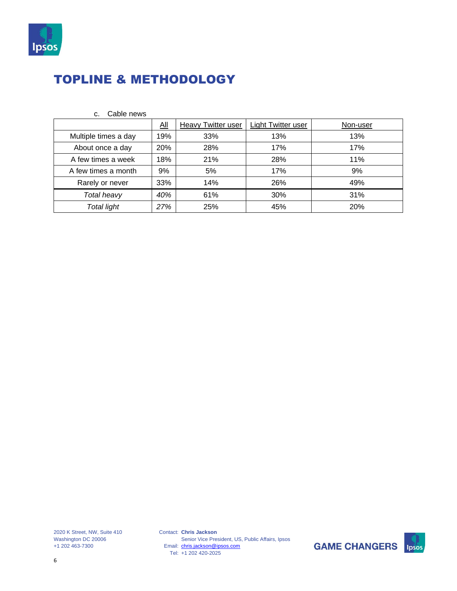

|                      | All | Heavy Twitter user | Light Twitter user | Non-user |
|----------------------|-----|--------------------|--------------------|----------|
| Multiple times a day | 19% | 33%                | 13%                | 13%      |
| About once a day     | 20% | 28%                | 17%                | 17%      |
| A few times a week   | 18% | 21%                | 28%                | 11%      |
| A few times a month  | 9%  | 5%                 | 17%                | 9%       |
| Rarely or never      | 33% | 14%                | 26%                | 49%      |
| Total heavy          | 40% | 61%                | 30%                | 31%      |
| <b>Total light</b>   | 27% | 25%                | 45%                | 20%      |

c. Cable news

2020 K Street, NW, Suite 410 Washington DC 20006 +1 202 463-7300

Contact: **Chris Jackson** Email: Tel: Senior Vice President, US, Public Affairs, Ipsos [chris.jackson@ipsos.com](mailto:chris.jackson@ipsos.com) +1 202 420-2025

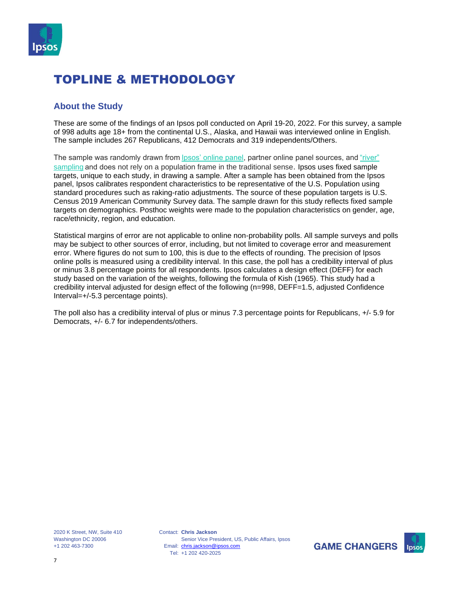

### **About the Study**

These are some of the findings of an Ipsos poll conducted on April 19-20, 2022. For this survey, a sample of 998 adults age 18+ from the continental U.S., Alaska, and Hawaii was interviewed online in English. The sample includes 267 Republicans, 412 Democrats and 319 independents/Others.

The sample was randomly drawn from lpsos' online panel, partner online panel sources, and "river" [sampling](https://www.ipsos.com/en-us/public-opinion-polling-downloads)and does not rely on a population frame in the traditional sense. Ipsos uses fixed sample targets, unique to each study, in drawing a sample. After a sample has been obtained from the Ipsos panel, Ipsos calibrates respondent characteristics to be representative of the U.S. Population using standard procedures such as raking-ratio adjustments. The source of these population targets is U.S. Census 2019 American Community Survey data. The sample drawn for this study reflects fixed sample targets on demographics. Posthoc weights were made to the population characteristics on gender, age, race/ethnicity, region, and education.

Statistical margins of error are not applicable to online non-probability polls. All sample surveys and polls may be subject to other sources of error, including, but not limited to coverage error and measurement error. Where figures do not sum to 100, this is due to the effects of rounding. The precision of Ipsos online polls is measured using a credibility interval. In this case, the poll has a credibility interval of plus or minus 3.8 percentage points for all respondents. Ipsos calculates a design effect (DEFF) for each study based on the variation of the weights, following the formula of Kish (1965). This study had a credibility interval adjusted for design effect of the following (n=998, DEFF=1.5, adjusted Confidence Interval=+/-5.3 percentage points).

The poll also has a credibility interval of plus or minus 7.3 percentage points for Republicans, +/- 5.9 for Democrats, +/- 6.7 for independents/others.